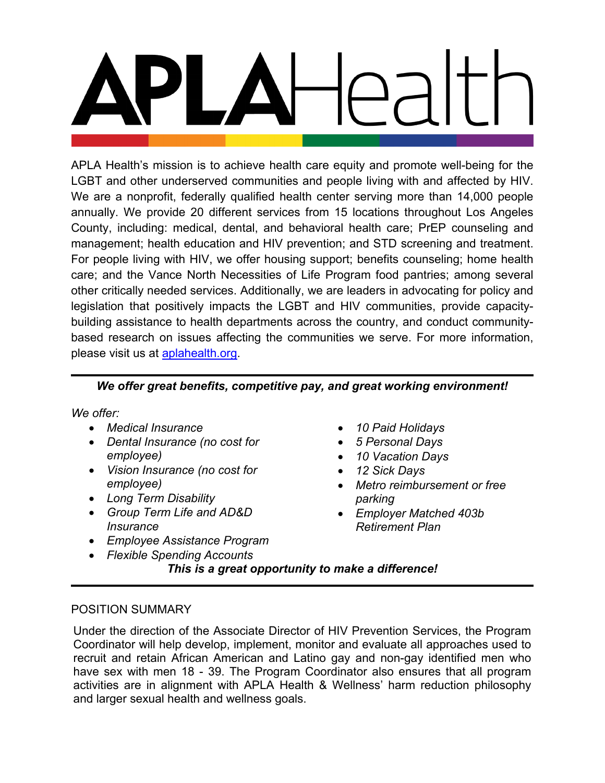APLA Health's mission is to achieve health care equity and promote well-being for the LGBT and other underserved communities and people living with and affected by HIV. We are a nonprofit, federally qualified health center serving more than 14,000 people annually. We provide 20 different services from 15 locations throughout Los Angeles County, including: medical, dental, and behavioral health care; PrEP counseling and management; health education and HIV prevention; and STD screening and treatment. For people living with HIV, we offer housing support; benefits counseling; home health care; and the Vance North Necessities of Life Program food pantries; among several other critically needed services. Additionally, we are leaders in advocating for policy and legislation that positively impacts the LGBT and HIV communities, provide capacitybuilding assistance to health departments across the country, and conduct communitybased research on issues affecting the communities we serve. For more information, please visit us at **aplahealth.org**.

# *We offer great benefits, competitive pay, and great working environment!*

*We offer:*

- *Medical Insurance*
- *Dental Insurance (no cost for employee)*
- *Vision Insurance (no cost for employee)*
- *Long Term Disability*
- *Group Term Life and AD&D Insurance*
- *Employee Assistance Program*
- *Flexible Spending Accounts*
- *10 Paid Holidays*
- *5 Personal Days*
- *10 Vacation Days*
- *12 Sick Days*
- *Metro reimbursement or free parking*
- *Employer Matched 403b Retirement Plan*

*This is a great opportunity to make a difference!*

# POSITION SUMMARY

Under the direction of the Associate Director of HIV Prevention Services, the Program Coordinator will help develop, implement, monitor and evaluate all approaches used to recruit and retain African American and Latino gay and non-gay identified men who have sex with men 18 - 39. The Program Coordinator also ensures that all program activities are in alignment with APLA Health & Wellness' harm reduction philosophy and larger sexual health and wellness goals.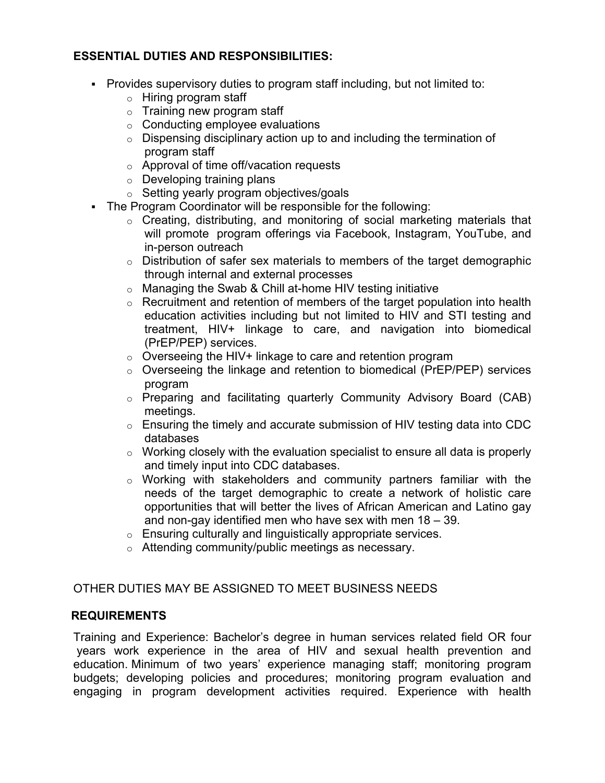# **ESSENTIAL DUTIES AND RESPONSIBILITIES:**

- Provides supervisory duties to program staff including, but not limited to:
	- o Hiring program staff
	- $\circ$  Training new program staff
	- $\circ$  Conducting employee evaluations
	- $\circ$  Dispensing disciplinary action up to and including the termination of program staff
	- o Approval of time off/vacation requests
	- o Developing training plans
	- o Setting yearly program objectives/goals
- The Program Coordinator will be responsible for the following:
	- $\circ$  Creating, distributing, and monitoring of social marketing materials that will promote program offerings via Facebook, Instagram, YouTube, and in-person outreach
	- $\circ$  Distribution of safer sex materials to members of the target demographic through internal and external processes
	- o Managing the Swab & Chill at-home HIV testing initiative
	- $\circ$  Recruitment and retention of members of the target population into health education activities including but not limited to HIV and STI testing and treatment, HIV+ linkage to care, and navigation into biomedical (PrEP/PEP) services.
	- $\circ$  Overseeing the HIV+ linkage to care and retention program
	- o Overseeing the linkage and retention to biomedical (PrEP/PEP) services program
	- o Preparing and facilitating quarterly Community Advisory Board (CAB) meetings.
	- $\circ$  Ensuring the timely and accurate submission of HIV testing data into CDC databases
	- $\circ$  Working closely with the evaluation specialist to ensure all data is properly and timely input into CDC databases.
	- o Working with stakeholders and community partners familiar with the needs of the target demographic to create a network of holistic care opportunities that will better the lives of African American and Latino gay and non-gay identified men who have sex with men 18 – 39.
	- $\circ$  Ensuring culturally and linguistically appropriate services.
	- o Attending community/public meetings as necessary.

## OTHER DUTIES MAY BE ASSIGNED TO MEET BUSINESS NEEDS

## **REQUIREMENTS**

Training and Experience: Bachelor's degree in human services related field OR four years work experience in the area of HIV and sexual health prevention and education. Minimum of two years' experience managing staff; monitoring program budgets; developing policies and procedures; monitoring program evaluation and engaging in program development activities required. Experience with health